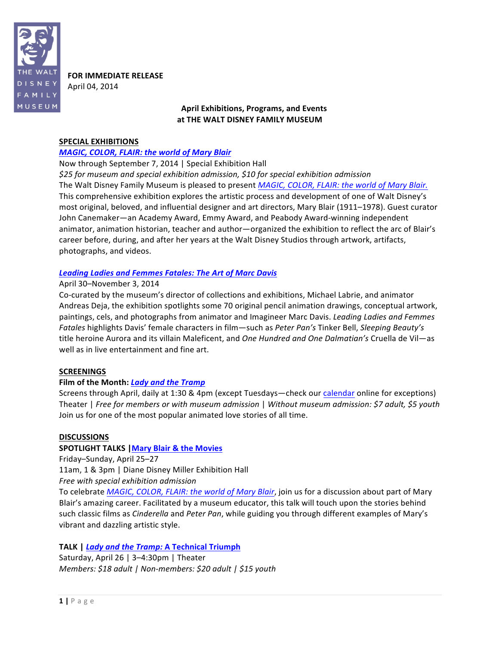

**FOR IMMEDIATE RELEASE** April 04, 2014

## **April Exhibitions, Programs, and"Events** at THE WALT DISNEY FAMILY MUSEUM

### **SPECIAL EXHIBITIONS**

### *MAGIC, COLOR, FLAIR: the world of Mary Blair*

Now through September 7, 2014 | Special Exhibition Hall

*\$25\$for museum\$and\$special\$exhibition\$admission,\$\$10\$for\$special\$exhibition\$admission* The Walt Disney Family Museum is pleased to present *MAGIC, COLOR, FLAIR: the world of Mary Blair.* This comprehensive exhibition explores the artistic process and development of one of Walt Disney's most original, beloved, and influential designer and art directors, Mary Blair (1911–1978). Guest curator John Canemaker—an Academy Award, Emmy Award, and Peabody Award-winning independent animator, animation historian, teacher and author—organized the exhibition to reflect the arc of Blair's career before, during, and after her years at the Walt Disney Studios through artwork, artifacts, photographs, and videos.

## Leading Ladies and Femmes Fatales: The Art of Marc Davis

## April 30-November 3, 2014

Co-curated by the museum's director of collections and exhibitions, Michael Labrie, and animator Andreas Deja, the exhibition spotlights some 70 original pencil animation drawings, conceptual artwork, paintings, cels, and photographs from animator and Imagineer Marc Davis. *Leading Ladies and Femmes Fatales* highlights Davis' female characters in film—such as *Peter Pan's* Tinker Bell, Sleeping Beauty's title heroine Aurora and its villain Maleficent, and One Hundred and One Dalmatian's Cruella de Vil—as well as in live entertainment and fine art.

## **SCREENINGS"**

## Film of the Month: *Lady and the Tramp*

Screens through April, daily at 1:30 & 4pm (except Tuesdays—check our calendar online for exceptions) Theater | *Free for members or with museum admission* | Without museum admission: \$7 adult, \$5 youth Join us for one of the most popular animated love stories of all time.

## **DISCUSSIONS**

## **SPOTLIGHT TALKS | Mary Blair & the Movies**

Friday–Sunday, April 25–27

11am, 1 & 3pm | Diane Disney Miller Exhibition Hall

*Free* with special exhibition admission

To celebrate *MAGIC, COLOR, FLAIR: the world of Mary Blair*, join us for a discussion about part of Mary Blair's amazing career. Facilitated by a museum educator, this talk will touch upon the stories behind such classic films as *Cinderella* and *Peter Pan*, while guiding you through different examples of Mary's vibrant and dazzling artistic style.

## TALK | *Lady and the Tramp:* A Technical Triumph

Saturday, April 26 | 3–4:30pm | Theater *Members:* \$18 adult | Non-members: \$20 adult | \$15 youth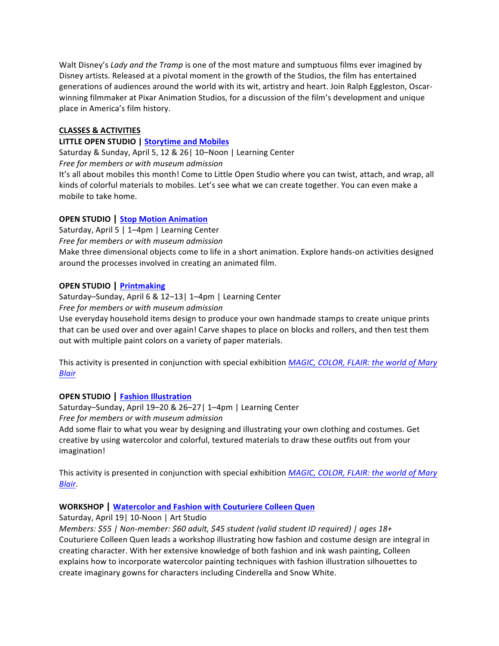Walt Disney's *Lady and the Tramp* is one of the most mature and sumptuous films ever imagined by Disney artists. Released at a pivotal moment in the growth of the Studios, the film has entertained generations of audiences around the world with its wit, artistry and heart. Join Ralph Eggleston, Oscarwinning filmmaker at Pixar Animation Studios, for a discussion of the film's development and unique place in America's film history.

## **CLASSES"& ACTIVITIES**

## **LITTLE OPEN STUDIO | Storytime and Mobiles**

Saturday & Sunday, April 5, 12 & 26| 10-Noon | Learning Center

Free for members or with museum admission

It's all about mobiles this month! Come to Little Open Studio where you can twist, attach, and wrap, all kinds of colorful materials to mobiles. Let's see what we can create together. You can even make a mobile to take home.

# **OPEN"STUDIO | Stop"Motion"Animation**

Saturday, April 5 | 1–4pm | Learning Center

Free for members or with museum admission

Make three dimensional objects come to life in a short animation. Explore hands-on activities designed around the processes involved in creating an animated film.

# **OPEN"STUDIO | Printmaking**

Saturday–Sunday, April 6 & 12–13| 1–4pm | Learning Center Free for members or with museum admission

Use everyday household items design to produce your own handmade stamps to create unique prints that can be used over and over again! Carve shapes to place on blocks and rollers, and then test them out with multiple paint colors on a variety of paper materials.

This activity is presented in conjunction with special exhibition *MAGIC, COLOR, FLAIR: the world of Mary Blair*

# **OPEN"STUDIO | Fashion"Illustration**

Saturday–Sunday, April 19–20 & 26–27| 1–4pm | Learning Center *Free for members or with museum admission* Add some flair to what you wear by designing and illustrating your own clothing and costumes. Get creative by using watercolor and colorful, textured materials to draw these outfits out from your imagination!

This activity is presented in conjunction with special exhibition *MAGIC, COLOR, FLAIR: the world of Mary Blair*.

# **WORKSHOP** | Watercolor and Fashion with Couturiere Colleen Quen

Saturday, April 19| 10-Noon | Art Studio

*Members: \$55 | Non-member: \$60 adult, \$45 student (valid student ID required) | ages 18+* Couturiere Colleen Quen leads a workshop illustrating how fashion and costume design are integral in creating character. With her extensive knowledge of both fashion and ink wash painting, Colleen explains how to incorporate watercolor painting techniques with fashion illustration silhouettes to create imaginary gowns for characters including Cinderella and Snow White.